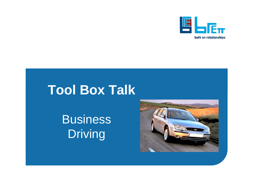

## **Tool Box Talk**

# **Business** Driving

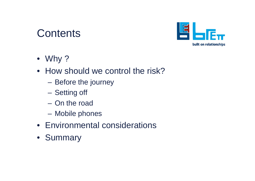#### **Contents**



- Why ?
- How should we control the risk?
	- **Hart Communication** Before the journey
	- **Hart Communication** Setting off
	- On the road
	- **Hart Community** Mobile phones
- Environmental considerations
- Summary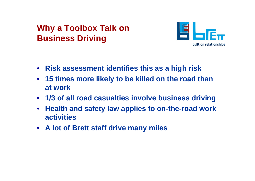#### **Why a Toolbox Talk on Business Driving**



- **Risk assessment identifies this as a high risk**
- **15 times more likely to be killed on the road than at work**
- **1/3 of all road casualties involve business driving**
- $\bullet$  **Health and safety law applies to on-the-road work activities**
- **A lot of Brett staff drive many miles**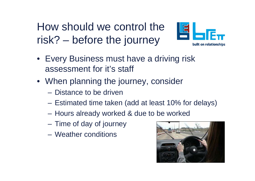How should we control the risk? – before the journey



- Every Business must have a driving risk assessment for it's staff
- When planning the journey, consider
	- Distance to be driven
	- –Estimated time taken (add at least 10% for delays)
	- –Hours already worked & due to be worked
	- –Time of day of journey
	- Weather conditions

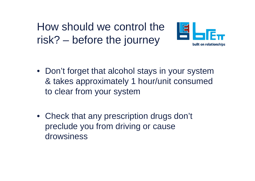How should we control the risk? – before the journey



- Don't forget that alcohol stays in your system & takes approximately 1 hour/unit consumed to clear from your system
- Check that any prescription drugs don't preclude you from driving or cause drowsiness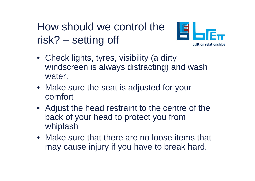## How should we control the risk? – setting off



- Check lights, tyres, visibility (a dirty windscreen is always distracting) and wash water.
- Make sure the seat is adjusted for your comfort
- Adjust the head restraint to the centre of the back of your head to protect you from whiplash
- Make sure that there are no loose items that may cause injury if you have to break hard.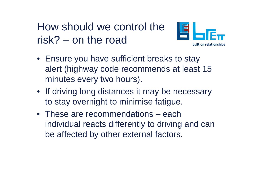How should we control the risk? – on the road



- Ensure you have sufficient breaks to stay alert (highway code recommends at least 15 minutes every two hours).
- If driving long distances it may be necessary to stay overnight to minimise fatigue.
- These are recommendations each individual reacts differently to driving and can be affected by other external factors.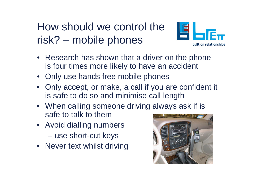## How should we control the risk? – mobile phones



- Research has shown that a driver on the phone is four times more likely to have an accident
- Only use hands free mobile phones
- Only accept, or make, a call if you are confident it is safe to do so and minimise call length
- When calling someone driving always ask if is safe to talk to them
- Avoid dialling numbers **Hart Communist Communist Communist** use short-cut keys
- Never text whilst driving

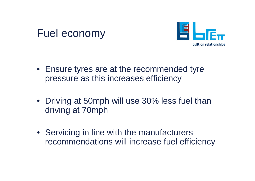#### Fuel economy



- Ensure tyres are at the recommended tyre pressure as this increases efficiency
- Driving at 50mph will use 30% less fuel than driving at 70mph
- Servicing in line with the manufacturers recommendations will increase fuel efficiency